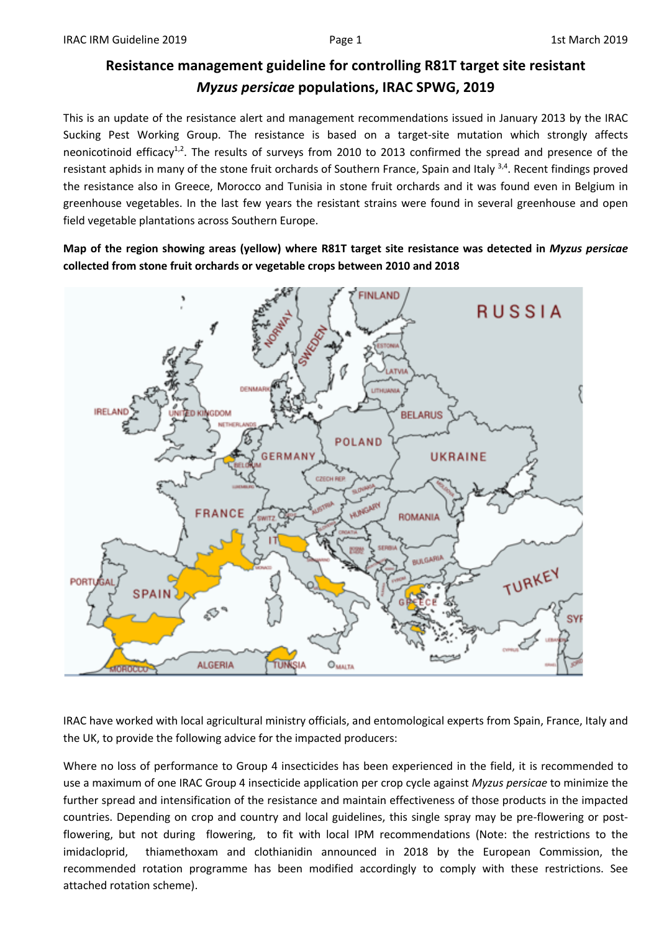## **Resistance management guideline for controlling R81T target site resistant**  *Myzus persicae* **populations, IRAC SPWG, 2019**

This is an update of the resistance alert and management recommendations issued in January 2013 by the IRAC Sucking Pest Working Group. The resistance is based on a target-site mutation which strongly affects neonicotinoid efficacy<sup>1,2</sup>. The results of surveys from 2010 to 2013 confirmed the spread and presence of the resistant aphids in many of the stone fruit orchards of Southern France, Spain and Italy 3,4. Recent findings proved the resistance also in Greece, Morocco and Tunisia in stone fruit orchards and it was found even in Belgium in greenhouse vegetables. In the last few years the resistant strains were found in several greenhouse and open field vegetable plantations across Southern Europe.

**Map of the region showing areas (yellow) where R81T target site resistance was detected in** *Myzus persicae* **collected from stone fruit orchards or vegetable crops between 2010 and 2018**



IRAC have worked with local agricultural ministry officials, and entomological experts from Spain, France, Italy and the UK, to provide the following advice for the impacted producers:

Where no loss of performance to Group 4 insecticides has been experienced in the field, it is recommended to use a maximum of one IRAC Group 4 insecticide application per crop cycle against *Myzus persicae* to minimize the further spread and intensification of the resistance and maintain effectiveness of those products in the impacted countries. Depending on crop and country and local guidelines, this single spray may be pre-flowering or postflowering, but not during flowering, to fit with local IPM recommendations (Note: the restrictions to the imidacloprid, thiamethoxam and clothianidin announced in 2018 by the European Commission, the recommended rotation programme has been modified accordingly to comply with these restrictions. See attached rotation scheme).